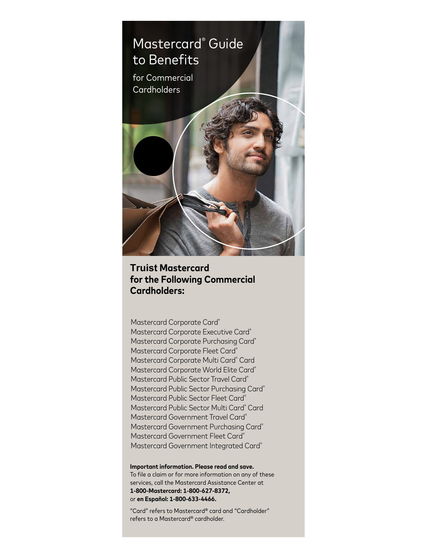

# **Truist Mastercard for the Following Commercial Cardholders:**

Mastercard Corporate Card® Mastercard Corporate Executive Card® Mastercard Corporate Purchasing Card® Mastercard Corporate Fleet Card® Mastercard Corporate Multi Card<sup>®</sup> Card Mastercard Corporate World Elite Card<sup>®</sup> Mastercard Public Sector Travel Card® Mastercard Public Sector Purchasing Card® Mastercard Public Sector Fleet Card® Mastercard Public Sector Multi Card® Card Mastercard Government Travel Card® Mastercard Government Purchasing Card® Mastercard Government Fleet Card® Mastercard Government Integrated Card®

**Important information. Please read and save.** To file a claim or for more information on any of these services, call the Mastercard Assistance Center at **1-800-Mastercard: 1-800-627-8372,**  or **en Español: 1-800-633-4466.**

"Card" refers to Mastercard® card and "Cardholder" refers to a Mastercard® cardholder.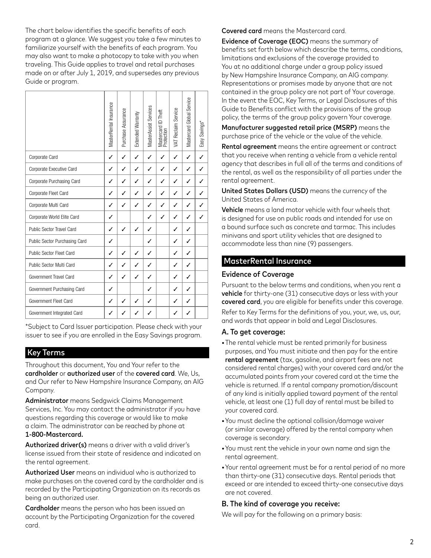The chart below identifies the specific benefits of each program at a glance. We suggest you take a few minutes to familiarize yourself with the benefits of each program. You may also want to make a photocopy to take with you when traveling. This Guide applies to travel and retail purchases made on or after July 1, 2019, and supersedes any previous Guide or program.

|                               | MasterRental Insurance | Purchase Assurance | Extended Warranty | MasterAssist Services | ID Theft<br>Mastercard II<br>Protection | VAT Reclaim Service | Mastercard Global Service | Easy Savings* |
|-------------------------------|------------------------|--------------------|-------------------|-----------------------|-----------------------------------------|---------------------|---------------------------|---------------|
| Corporate Card                | ✓                      | ✓                  | ✓                 | ✓                     | ✓                                       | ✓                   | ✓                         | ✓             |
| Corporate Executive Card      | ✓                      | ✓                  | $\checkmark$      | ✓                     | ✓                                       | ✓                   | ✓                         |               |
| Corporate Purchasing Card     | ✓                      | ✓                  | ✓                 | ✓                     | ✓                                       | ✓                   | ✓                         |               |
| Corporate Fleet Card          | ✓                      | ✓                  | ✓                 | ✓                     | ℐ                                       | ✓                   | ✓                         |               |
| Corporate Multi Card          | ✓                      | ✓                  | ✓                 | ✓                     | ✓                                       | ✓                   | ✓                         |               |
| Corporate World Elite Card    | ✓                      |                    |                   | ✓                     | $\checkmark$                            | ✓                   | ✓                         | ℐ             |
| Public Sector Travel Card     | ✓                      | ✓                  | ✓                 | ✓                     |                                         | ✓                   | ✓                         |               |
| Public Sector Purchasing Card | ✓                      |                    |                   | ✓                     |                                         | ✓                   | ✓                         |               |
| Public Sector Fleet Card      | ✓                      | ✓                  | ✓                 | ✓                     |                                         | ✓                   | $\checkmark$              |               |
| Public Sector Multi Card      | ✓                      | ✓                  | $\checkmark$      | ✓                     |                                         | ✓                   | ✓                         |               |
| Government Travel Card        | ✓                      | ✓                  | ✓                 | ✓                     |                                         | ✓                   | ✓                         |               |
| Government Purchasing Card    | ✓                      |                    |                   | ✓                     |                                         | ✓                   | ✓                         |               |
| Government Fleet Card         | ✓                      | J                  | ✓                 | ✓                     |                                         | ✓                   | ✓                         |               |
| Government Integrated Card    | ✓                      |                    |                   | ✓                     |                                         | ✓                   | ✓                         |               |

\*Subject to Card Issuer participation. Please check with your issuer to see if you are enrolled in the Easy Savings program.

### Key Terms

Throughout this document, You and Your refer to the cardholder or authorized user of the covered card. We, Us, and Our refer to New Hampshire Insurance Company, an AIG Company.

Administrator means Sedgwick Claims Management Services, Inc. You may contact the administrator if you have questions regarding this coverage or would like to make a claim. The administrator can be reached by phone at 1-800-Mastercard.

Authorized driver(s) means a driver with a valid driver's license issued from their state of residence and indicated on the rental agreement.

Authorized User means an individual who is authorized to make purchases on the covered card by the cardholder and is recorded by the Participating Organization on its records as being an authorized user.

Cardholder means the person who has been issued an account by the Participating Organization for the covered card.

Covered card means the Mastercard card.

Evidence of Coverage (EOC) means the summary of benefits set forth below which describe the terms, conditions, limitations and exclusions of the coverage provided to You at no additional charge under a group policy issued by New Hampshire Insurance Company, an AIG company. Representations or promises made by anyone that are not contained in the group policy are not part of Your coverage. In the event the EOC, Key Terms, or Legal Disclosures of this Guide to Benefits conflict with the provisions of the group policy, the terms of the group policy govern Your coverage.

Manufacturer suggested retail price (MSRP) means the purchase price of the vehicle or the value of the vehicle.

Rental agreement means the entire agreement or contract that you receive when renting a vehicle from a vehicle rental agency that describes in full all of the terms and conditions of the rental, as well as the responsibility of all parties under the rental agreement.

United States Dollars (USD) means the currency of the United States of America.

Vehicle means a land motor vehicle with four wheels that is designed for use on public roads and intended for use on a bound surface such as concrete and tarmac. This includes minivans and sport utility vehicles that are designed to accommodate less than nine (9) passengers.

#### MasterRental Insurance

#### Evidence of Coverage

Pursuant to the below terms and conditions, when you rent a vehicle for thirty-one (31) consecutive days or less with your covered card, you are eligible for benefits under this coverage.

Refer to Key Terms for the definitions of you, your, we, us, our, and words that appear in bold and Legal Disclosures.

#### A. To get coverage:

- The rental vehicle must be rented primarily for business purposes, and You must initiate and then pay for the entire rental agreement (tax, gasoline, and airport fees are not considered rental charges) with your covered card and/or the accumulated points from your covered card at the time the vehicle is returned. If a rental company promotion/discount of any kind is initially applied toward payment of the rental vehicle, at least one (1) full day of rental must be billed to your covered card.
- You must decline the optional collision/damage waiver (or similar coverage) offered by the rental company when coverage is secondary.
- You must rent the vehicle in your own name and sign the rental agreement.
- Your rental agreement must be for a rental period of no more than thirty-one (31) consecutive days. Rental periods that exceed or are intended to exceed thirty-one consecutive days are not covered.

#### B. The kind of coverage you receive:

We will pay for the following on a primary basis: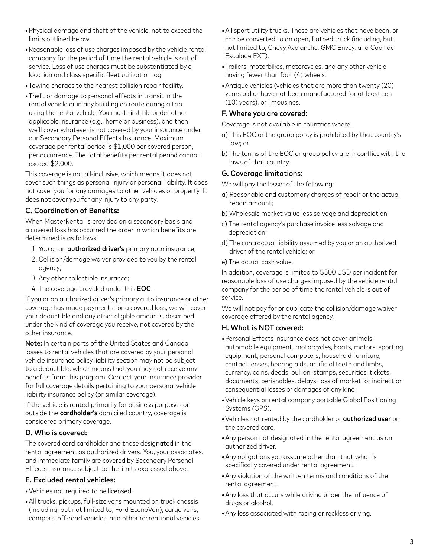- Physical damage and theft of the vehicle, not to exceed the limits outlined below.
- Reasonable loss of use charges imposed by the vehicle rental company for the period of time the rental vehicle is out of service. Loss of use charges must be substantiated by a location and class specific fleet utilization log.
- Towing charges to the nearest collision repair facility.
- Theft or damage to personal effects in transit in the rental vehicle or in any building en route during a trip using the rental vehicle. You must first file under other applicable insurance (e.g., home or business), and then we'll cover whatever is not covered by your insurance under our Secondary Personal Effects Insurance. Maximum coverage per rental period is \$1,000 per covered person, per occurrence. The total benefits per rental period cannot exceed \$2,000.

This coverage is not all-inclusive, which means it does not cover such things as personal injury or personal liability. It does not cover you for any damages to other vehicles or property. It does not cover you for any injury to any party.

### C. Coordination of Benefits:

When MasterRental is provided on a secondary basis and a covered loss has occurred the order in which benefits are determined is as follows:

- 1. You or an **authorized driver's** primary auto insurance;
- 2. Collision/damage waiver provided to you by the rental agency;
- 3. Any other collectible insurance;
- 4. The coverage provided under this EOC.

If you or an authorized driver's primary auto insurance or other coverage has made payments for a covered loss, we will cover your deductible and any other eligible amounts, described under the kind of coverage you receive, not covered by the other insurance.

Note: In certain parts of the United States and Canada losses to rental vehicles that are covered by your personal vehicle insurance policy liability section may not be subject to a deductible, which means that you may not receive any benefits from this program. Contact your insurance provider for full coverage details pertaining to your personal vehicle liability insurance policy (or similar coverage).

If the vehicle is rented primarily for business purposes or outside the cardholder's domiciled country, coverage is considered primary coverage.

### D. Who is covered:

The covered card cardholder and those designated in the rental agreement as authorized drivers. You, your associates, and immediate family are covered by Secondary Personal Effects Insurance subject to the limits expressed above.

# E. Excluded rental vehicles:

- Vehicles not required to be licensed.
- All trucks, pickups, full-size vans mounted on truck chassis (including, but not limited to, Ford EconoVan), cargo vans, campers, off-road vehicles, and other recreational vehicles.
- All sport utility trucks. These are vehicles that have been, or can be converted to an open, flatbed truck (including, but not limited to, Chevy Avalanche, GMC Envoy, and Cadillac Escalade EXT).
- Trailers, motorbikes, motorcycles, and any other vehicle having fewer than four (4) wheels.
- Antique vehicles (vehicles that are more than twenty (20) years old or have not been manufactured for at least ten (10) years), or limousines.

### F. Where you are covered:

Coverage is not available in countries where:

- a) This EOC or the group policy is prohibited by that country's law; or
- b) The terms of the EOC or group policy are in conflict with the laws of that country.

### G. Coverage limitations:

We will pay the lesser of the following:

- a) Reasonable and customary charges of repair or the actual repair amount;
- b) Wholesale market value less salvage and depreciation;
- c) The rental agency's purchase invoice less salvage and depreciation;
- d) The contractual liability assumed by you or an authorized driver of the rental vehicle; or
- e) The actual cash value.

In addition, coverage is limited to \$500 USD per incident for reasonable loss of use charges imposed by the vehicle rental company for the period of time the rental vehicle is out of service.

We will not pay for or duplicate the collision/damage waiver coverage offered by the rental agency.

### H. What is NOT covered:

- Personal Effects Insurance does not cover animals, automobile equipment, motorcycles, boats, motors, sporting equipment, personal computers, household furniture, contact lenses, hearing aids, artificial teeth and limbs, currency, coins, deeds, bullion, stamps, securities, tickets, documents, perishables, delays, loss of market, or indirect or consequential losses or damages of any kind.
- Vehicle keys or rental company portable Global Positioning Systems (GPS).
- Vehicles not rented by the cardholder or authorized user on the covered card.
- Any person not designated in the rental agreement as an authorized driver.
- Any obligations you assume other than that what is specifically covered under rental agreement.
- Any violation of the written terms and conditions of the rental agreement.
- Any loss that occurs while driving under the influence of drugs or alcohol.
- Any loss associated with racing or reckless driving.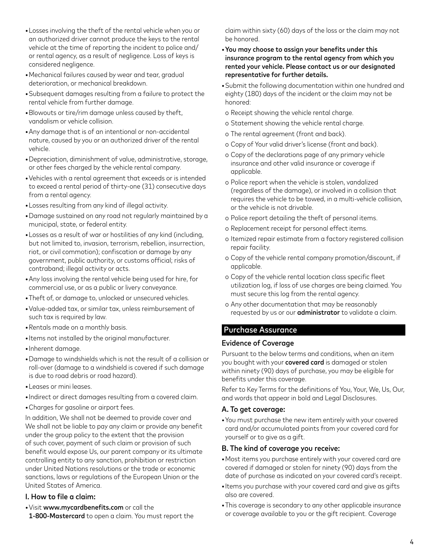- Losses involving the theft of the rental vehicle when you or an authorized driver cannot produce the keys to the rental vehicle at the time of reporting the incident to police and/ or rental agency, as a result of negligence. Loss of keys is considered negligence.
- Mechanical failures caused by wear and tear, gradual deterioration, or mechanical breakdown.
- Subsequent damages resulting from a failure to protect the rental vehicle from further damage.
- Blowouts or tire/rim damage unless caused by theft, vandalism or vehicle collision.
- Any damage that is of an intentional or non-accidental nature, caused by you or an authorized driver of the rental vehicle.
- Depreciation, diminishment of value, administrative, storage, or other fees charged by the vehicle rental company.
- Vehicles with a rental agreement that exceeds or is intended to exceed a rental period of thirty-one (31) consecutive days from a rental agency.
- Losses resulting from any kind of illegal activity.
- Damage sustained on any road not regularly maintained by a municipal, state, or federal entity.
- Losses as a result of war or hostilities of any kind (including, but not limited to, invasion, terrorism, rebellion, insurrection, riot, or civil commotion); confiscation or damage by any government, public authority, or customs official; risks of contraband; illegal activity or acts.
- Any loss involving the rental vehicle being used for hire, for commercial use, or as a public or livery conveyance.
- Theft of, or damage to, unlocked or unsecured vehicles.
- Value-added tax, or similar tax, unless reimbursement of such tax is required by law.
- Rentals made on a monthly basis.
- Items not installed by the original manufacturer.
- Inherent damage.
- Damage to windshields which is not the result of a collision or roll-over (damage to a windshield is covered if such damage is due to road debris or road hazard).
- Leases or mini leases.
- Indirect or direct damages resulting from a covered claim.
- Charges for gasoline or airport fees.

In addition, We shall not be deemed to provide cover and We shall not be liable to pay any claim or provide any benefit under the group policy to the extent that the provision of such cover, payment of such claim or provision of such benefit would expose Us, our parent company or its ultimate controlling entity to any sanction, prohibition or restriction under United Nations resolutions or the trade or economic sanctions, laws or regulations of the European Union or the United States of America.

### I. How to file a claim:

- Visit www.mycardbenefits.com or call the
- 1-800-Mastercard to open a claim. You must report the

claim within sixty (60) days of the loss or the claim may not be honored.

- You may choose to assign your benefits under this insurance program to the rental agency from which you rented your vehicle. Please contact us or our designated representative for further details.
- Submit the following documentation within one hundred and eighty (180) days of the incident or the claim may not be honored:
- o Receipt showing the vehicle rental charge.
- o Statement showing the vehicle rental charge.
- o The rental agreement (front and back).
- o Copy of Your valid driver's license (front and back).
- o Copy of the declarations page of any primary vehicle insurance and other valid insurance or coverage if applicable.
- o Police report when the vehicle is stolen, vandalized (regardless of the damage), or involved in a collision that requires the vehicle to be towed, in a multi-vehicle collision, or the vehicle is not drivable.
- o Police report detailing the theft of personal items.
- o Replacement receipt for personal effect items.
- o Itemized repair estimate from a factory registered collision repair facility.
- o Copy of the vehicle rental company promotion/discount, if applicable.
- o Copy of the vehicle rental location class specific fleet utilization log, if loss of use charges are being claimed. You must secure this log from the rental agency.
- o Any other documentation that may be reasonably requested by us or our **administrator** to validate a claim.

# Purchase Assurance

### Evidence of Coverage

Pursuant to the below terms and conditions, when an item you bought with your covered card is damaged or stolen within ninety (90) days of purchase, you may be eligible for benefits under this coverage.

Refer to Key Terms for the definitions of You, Your, We, Us, Our, and words that appear in bold and Legal Disclosures.

#### A. To get coverage:

• You must purchase the new item entirely with your covered card and/or accumulated points from your covered card for yourself or to give as a gift.

#### B. The kind of coverage you receive:

- Most items you purchase entirely with your covered card are covered if damaged or stolen for ninety (90) days from the date of purchase as indicated on your covered card's receipt.
- Items you purchase with your covered card and give as gifts also are covered.
- This coverage is secondary to any other applicable insurance or coverage available to you or the gift recipient. Coverage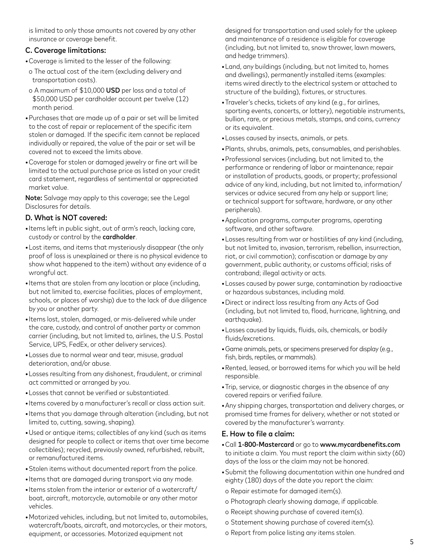is limited to only those amounts not covered by any other insurance or coverage benefit.

### C. Coverage limitations:

- Coverage is limited to the lesser of the following:
- o The actual cost of the item (excluding delivery and transportation costs).
- o A maximum of \$10,000 USD per loss and a total of \$50,000 USD per cardholder account per twelve (12) month period.
- Purchases that are made up of a pair or set will be limited to the cost of repair or replacement of the specific item stolen or damaged. If the specific item cannot be replaced individually or repaired, the value of the pair or set will be covered not to exceed the limits above.
- Coverage for stolen or damaged jewelry or fine art will be limited to the actual purchase price as listed on your credit card statement, regardless of sentimental or appreciated market value.

Note: Salvage may apply to this coverage; see the Legal Disclosures for details.

### D. What is NOT covered:

- Items left in public sight, out of arm's reach, lacking care, custody or control by the cardholder.
- Lost items, and items that mysteriously disappear (the only proof of loss is unexplained or there is no physical evidence to show what happened to the item) without any evidence of a wrongful act.
- Items that are stolen from any location or place (including, but not limited to, exercise facilities, places of employment, schools, or places of worship) due to the lack of due diligence by you or another party.
- Items lost, stolen, damaged, or mis-delivered while under the care, custody, and control of another party or common carrier (including, but not limited to, airlines, the U.S. Postal Service, UPS, FedEx, or other delivery services).
- Losses due to normal wear and tear, misuse, gradual deterioration, and/or abuse.
- Losses resulting from any dishonest, fraudulent, or criminal act committed or arranged by you.
- Losses that cannot be verified or substantiated.
- Items covered by a manufacturer's recall or class action suit.
- Items that you damage through alteration (including, but not limited to, cutting, sawing, shaping).
- Used or antique items; collectibles of any kind (such as items designed for people to collect or items that over time become collectibles); recycled, previously owned, refurbished, rebuilt, or remanufactured items.
- Stolen items without documented report from the police.
- Items that are damaged during transport via any mode.
- Items stolen from the interior or exterior of a watercraft/ boat, aircraft, motorcycle, automobile or any other motor vehicles.
- Motorized vehicles, including, but not limited to, automobiles, watercraft/boats, aircraft, and motorcycles, or their motors, equipment, or accessories. Motorized equipment not

designed for transportation and used solely for the upkeep and maintenance of a residence is eligible for coverage (including, but not limited to, snow thrower, lawn mowers, and hedge trimmers).

- Land, any buildings (including, but not limited to, homes and dwellings), permanently installed items (examples: items wired directly to the electrical system or attached to structure of the building), fixtures, or structures.
- Traveler's checks, tickets of any kind (e.g., for airlines, sporting events, concerts, or lottery), negotiable instruments, bullion, rare, or precious metals, stamps, and coins, currency or its equivalent.
- Losses caused by insects, animals, or pets.
- Plants, shrubs, animals, pets, consumables, and perishables.
- Professional services (including, but not limited to, the performance or rendering of labor or maintenance; repair or installation of products, goods, or property; professional advice of any kind, including, but not limited to, information/ services or advice secured from any help or support line; or technical support for software, hardware, or any other peripherals).
- Application programs, computer programs, operating software, and other software.
- Losses resulting from war or hostilities of any kind (including, but not limited to, invasion, terrorism, rebellion, insurrection, riot, or civil commotion); confiscation or damage by any government, public authority, or customs official; risks of contraband; illegal activity or acts.
- Losses caused by power surge, contamination by radioactive or hazardous substances, including mold.
- Direct or indirect loss resulting from any Acts of God (including, but not limited to, flood, hurricane, lightning, and earthquake).
- Losses caused by liquids, fluids, oils, chemicals, or bodily fluids/excretions.
- Game animals, pets, or specimens preserved for display (e.g., fish, birds, reptiles, or mammals).
- Rented, leased, or borrowed items for which you will be held responsible.
- Trip, service, or diagnostic charges in the absence of any covered repairs or verified failure.
- Any shipping charges, transportation and delivery charges, or promised time frames for delivery, whether or not stated or covered by the manufacturer's warranty.

#### E. How to file a claim:

- Call 1-800-Mastercard or go to www.mycardbenefits.com to initiate a claim. You must report the claim within sixty (60) days of the loss or the claim may not be honored.
- Submit the following documentation within one hundred and eighty (180) days of the date you report the claim:
- o Repair estimate for damaged item(s).
- o Photograph clearly showing damage, if applicable.
- o Receipt showing purchase of covered item(s).
- o Statement showing purchase of covered item(s).
- o Report from police listing any items stolen.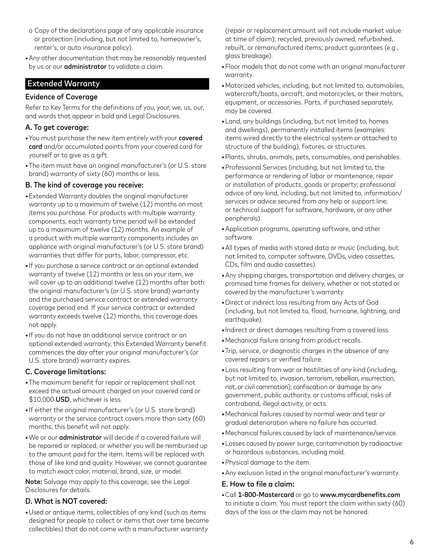- o Copy of the declarations page of any applicable insurance or protection (including, but not limited to, homeowner's, renter's, or auto insurance policy).
- Any other documentation that may be reasonably requested by us or our **administrator** to validate a claim.

## Extended Warranty

#### Evidence of Coverage

Refer to Key Terms for the definitions of you, your, we, us, our, and words that appear in bold and Legal Disclosures.

### A. To get coverage:

- You must purchase the new item entirely with your covered card and/or accumulated points from your covered card for yourself or to give as a gift.
- The item must have an original manufacturer's (or U.S. store brand) warranty of sixty (60) months or less.

### B. The kind of coverage you receive:

- Extended Warranty doubles the original manufacturer warranty up to a maximum of twelve (12) months on most items you purchase. For products with multiple warranty components, each warranty time period will be extended up to a maximum of twelve (12) months. An example of a product with multiple warranty components includes an appliance with original manufacturer's (or U.S. store brand) warranties that differ for parts, labor, compressor, etc.
- If you purchase a service contract or an optional extended warranty of twelve (12) months or less on your item, we will cover up to an additional twelve (12) months after both the original manufacturer's (or U.S. store brand) warranty and the purchased service contract or extended warranty coverage period end. If your service contract or extended warranty exceeds twelve (12) months, this coverage does not apply.
- If you do not have an additional service contract or an optional extended warranty, this Extended Warranty benefit commences the day after your original manufacturer's (or U.S. store brand) warranty expires.

### C. Coverage limitations:

- The maximum benefit for repair or replacement shall not exceed the actual amount charged on your covered card or \$10,000 USD, whichever is less.
- If either the original manufacturer's (or U.S. store brand) warranty or the service contract covers more than sixty (60) months, this benefit will not apply.
- We or our administrator will decide if a covered failure will be repaired or replaced, or whether you will be reimbursed up to the amount paid for the item. Items will be replaced with those of like kind and quality. However, we cannot guarantee to match exact color, material, brand, size, or model.

Note: Salvage may apply to this coverage; see the Legal Disclosures for details.

### D. What is NOT covered:

• Used or antique items; collectibles of any kind (such as items designed for people to collect or items that over time become collectibles) that do not come with a manufacturer warranty

(repair or replacement amount will not include market value at time of claim); recycled, previously owned, refurbished, rebuilt, or remanufactured items; product guarantees (e.g., glass breakage).

- Floor models that do not come with an original manufacturer warranty.
- Motorized vehicles, including, but not limited to, automobiles, watercraft/boats, aircraft, and motorcycles, or their motors, equipment, or accessories. Parts, if purchased separately, may be covered.
- Land, any buildings (including, but not limited to, homes and dwellings), permanently installed items (examples: items wired directly to the electrical system or attached to structure of the building), fixtures, or structures.
- Plants, shrubs, animals, pets, consumables, and perishables.
- Professional Services (including, but not limited to, the performance or rendering of labor or maintenance; repair or installation of products, goods or property; professional advice of any kind, including, but not limited to, information/ services or advice secured from any help or support line; or technical support for software, hardware, or any other peripherals).
- Application programs, operating software, and other software.
- All types of media with stored data or music (including, but not limited to, computer software, DVDs, video cassettes, CDs, film and audio cassettes).
- Any shipping charges, transportation and delivery charges, or promised time frames for delivery, whether or not stated or covered by the manufacturer's warranty.
- Direct or indirect loss resulting from any Acts of God (including, but not limited to, flood, hurricane, lightning, and earthquake).
- Indirect or direct damages resulting from a covered loss.
- Mechanical failure arising from product recalls.
- Trip, service, or diagnostic charges in the absence of any covered repairs or verified failure.
- Loss resulting from war or hostilities of any kind (including, but not limited to, invasion, terrorism, rebellion, insurrection, riot, or civil commotion); confiscation or damage by any government, public authority, or customs official; risks of contraband, illegal activity, or acts.
- Mechanical failures caused by normal wear and tear or gradual deterioration where no failure has occurred.
- Mechanical failures caused by lack of maintenance/service.
- Losses caused by power surge, contamination by radioactive or hazardous substances, including mold.
- Physical damage to the item.
- Any exclusion listed in the original manufacturer's warranty.

#### E. How to file a claim:

• Call 1-800-Mastercard or go to www.mycardbenefits.com to initiate a claim. You must report the claim within sixty (60) days of the loss or the claim may not be honored.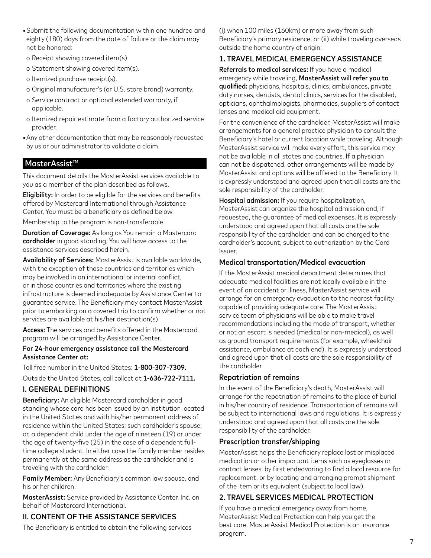- Submit the following documentation within one hundred and eighty (180) days from the date of failure or the claim may not be honored:
- o Receipt showing covered item(s).
- o Statement showing covered item(s).
- o Itemized purchase receipt(s).
- o Original manufacturer's (or U.S. store brand) warranty.
- o Service contract or optional extended warranty, if applicable.
- o Itemized repair estimate from a factory authorized service provider.
- Any other documentation that may be reasonably requested by us or our administrator to validate a claim.

### $M$ asterAssist<sup>™</sup>

This document details the MasterAssist services available to you as a member of the plan described as follows.

Eligibility: In order to be eligible for the services and benefits offered by Mastercard International through Assistance Center, You must be a beneficiary as defined below.

Membership to the program is non-transferable.

Duration of Coverage: As long as You remain a Mastercard cardholder in good standing, You will have access to the assistance services described herein.

Availability of Services: MasterAssist is available worldwide, with the exception of those countries and territories which may be involved in an international or internal conflict, or in those countries and territories where the existing infrastructure is deemed inadequate by Assistance Center to guarantee service. The Beneficiary may contact MasterAssist prior to embarking on a covered trip to confirm whether or not services are available at his/her destination(s).

Access: The services and benefits offered in the Mastercard program will be arranged by Assistance Center.

#### For 24-hour emergency assistance call the Mastercard Assistance Center at:

Toll free number in the United States: 1-800-307-7309.

Outside the United States, call collect at 1-636-722-7111.

### I. GENERAL DEFINITIONS

Beneficiary: An eligible Mastercard cardholder in good standing whose card has been issued by an institution located in the United States and with his/her permanent address of residence within the United States; such cardholder's spouse; or, a dependent child under the age of nineteen (19) or under the age of twenty-five (25) in the case of a dependent fulltime college student. In either case the family member resides permanently at the same address as the cardholder and is traveling with the cardholder.

Family Member: Any Beneficiary's common law spouse, and his or her children.

MasterAssist: Service provided by Assistance Center, Inc. on behalf of Mastercard International.

### II. CONTENT OF THE ASSISTANCE SERVICES

The Beneficiary is entitled to obtain the following services

(i) when 100 miles (160km) or more away from such Beneficiary's primary residence; or (ii) while traveling overseas outside the home country of origin:

## 1. TRAVEL MEDICAL EMERGENCY ASSISTANCE

Referrals to medical services: If you have a medical emergency while traveling, MasterAssist will refer you to qualified: physicians, hospitals, clinics, ambulances, private duty nurses, dentists, dental clinics, services for the disabled, opticians, ophthalmologists, pharmacies, suppliers of contact lenses and medical aid equipment.

For the convenience of the cardholder, MasterAssist will make arrangements for a general practice physician to consult the Beneficiary's hotel or current location while traveling. Although MasterAssist service will make every effort, this service may not be available in all states and countries. If a physician can not be dispatched, other arrangements will be made by MasterAssist and options will be offered to the Beneficiary. It is expressly understood and agreed upon that all costs are the sole responsibility of the cardholder.

Hospital admission: If you require hospitalization, MasterAssist can organize the hospital admission and, if requested, the guarantee of medical expenses. It is expressly understood and agreed upon that all costs are the sole responsibility of the cardholder, and can be charged to the cardholder's account, subject to authorization by the Card Issuer.

#### Medical transportation/Medical evacuation

If the MasterAssist medical department determines that adequate medical facilities are not locally available in the event of an accident or illness, MasterAssist service will arrange for an emergency evacuation to the nearest facility capable of providing adequate care. The MasterAssist service team of physicians will be able to make travel recommendations including the mode of transport, whether or not an escort is needed (medical or non-medical), as well as ground transport requirements (for example, wheelchair assistance, ambulance at each end). It is expressly understood and agreed upon that all costs are the sole responsibility of the cardholder.

#### Repatriation of remains

In the event of the Beneficiary's death, MasterAssist will arrange for the repatriation of remains to the place of burial in his/her country of residence. Transportation of remains will be subject to international laws and regulations. It is expressly understood and agreed upon that all costs are the sole responsibility of the cardholder.

### Prescription transfer/shipping

MasterAssist helps the Beneficiary replace lost or misplaced medication or other important items such as eyeglasses or contact lenses, by first endeavoring to find a local resource for replacement, or by locating and arranging prompt shipment of the item or its equivalent (subject to local law).

#### 2. TRAVEL SERVICES MEDICAL PROTECTION

If you have a medical emergency away from home, MasterAssist Medical Protection can help you get the best care. MasterAssist Medical Protection is an insurance program.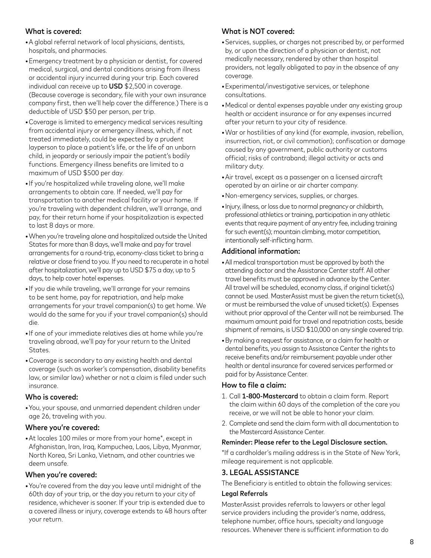## What is covered:

- A global referral network of local physicians, dentists, hospitals, and pharmacies.
- Emergency treatment by a physician or dentist, for covered medical, surgical, and dental conditions arising from illness or accidental injury incurred during your trip. Each covered individual can receive up to USD \$2,500 in coverage. (Because coverage is secondary, file with your own insurance company first, then we'll help cover the difference.) There is a deductible of USD \$50 per person, per trip.
- Coverage is limited to emergency medical services resulting from accidental injury or emergency illness, which, if not treated immediately, could be expected by a prudent layperson to place a patient's life, or the life of an unborn child, in jeopardy or seriously impair the patient's bodily functions. Emergency illness benefits are limited to a maximum of USD \$500 per day.
- If you're hospitalized while traveling alone, we'll make arrangements to obtain care. If needed, we'll pay for transportation to another medical facility or your home. If you're traveling with dependent children, we'll arrange, and pay, for their return home if your hospitalization is expected to last 8 days or more.
- When you're traveling alone and hospitalized outside the United States for more than 8 days, we'll make and pay for travel arrangements for a round-trip, economy-class ticket to bring a relative or close friend to you. If you need to recuperate in a hotel after hospitalization, we'll pay up to USD \$75 a day, up to 5 days, to help cover hotel expenses.
- If you die while traveling, we'll arrange for your remains to be sent home, pay for repatriation, and help make arrangements for your travel companion(s) to get home. We would do the same for you if your travel companion(s) should die.
- If one of your immediate relatives dies at home while you're traveling abroad, we'll pay for your return to the United States.
- Coverage is secondary to any existing health and dental coverage (such as worker's compensation, disability benefits law, or similar law) whether or not a claim is filed under such insurance.

#### Who is covered:

• You, your spouse, and unmarried dependent children under age 26, traveling with you.

#### Where you're covered:

• At locales 100 miles or more from your home\*, except in Afghanistan, Iran, Iraq, Kampuchea, Laos, Libya, Myanmar, North Korea, Sri Lanka, Vietnam, and other countries we deem unsafe.

#### When you're covered:

• You're covered from the day you leave until midnight of the 60th day of your trip, or the day you return to your city of residence, whichever is sooner. If your trip is extended due to a covered illness or injury, coverage extends to 48 hours after your return.

# What is NOT covered:

- Services, supplies, or charges not prescribed by, or performed by, or upon the direction of a physician or dentist, not medically necessary, rendered by other than hospital providers, not legally obligated to pay in the absence of any coverage.
- Experimental/investigative services, or telephone consultations.
- Medical or dental expenses payable under any existing group health or accident insurance or for any expenses incurred after your return to your city of residence.
- War or hostilities of any kind (for example, invasion, rebellion, insurrection, riot, or civil commotion); confiscation or damage caused by any government, public authority or customs official; risks of contraband; illegal activity or acts and military duty.
- Air travel, except as a passenger on a licensed aircraft operated by an airline or air charter company.
- Non-emergency services, supplies, or charges.
- Injury, illness, or loss due to normal pregnancy or childbirth, professional athletics or training, participation in any athletic events that require payment of any entry fee, including training for such event(s); mountain climbing, motor competition, intentionally self-inflicting harm.

### Additional information:

- All medical transportation must be approved by both the attending doctor and the Assistance Center staff. All other travel benefits must be approved in advance by the Center. All travel will be scheduled, economy class, if original ticket(s) cannot be used. MasterAssist must be given the return ticket(s), or must be reimbursed the value of unused ticket(s). Expenses without prior approval of the Center will not be reimbursed. The maximum amount paid for travel and repatriation costs, beside shipment of remains, is USD \$10,000 on any single covered trip.
- By making a request for assistance, or a claim for health or dental benefits, you assign to Assistance Center the rights to receive benefits and/or reimbursement payable under other health or dental insurance for covered services performed or paid for by Assistance Center.

#### How to file a claim:

- 1. Call 1-800-Mastercard to obtain a claim form. Report the claim within 60 days of the completion of the care you receive, or we will not be able to honor your claim.
- 2. Complete and send the claim form with all documentation to the Mastercard Assistance Center.

#### Reminder: Please refer to the Legal Disclosure section.

\*If a cardholder's mailing address is in the State of New York, mileage requirement is not applicable.

### 3. LEGAL ASSISTANCE

The Beneficiary is entitled to obtain the following services:

#### Legal Referrals

MasterAssist provides referrals to lawyers or other legal service providers including the provider's name, address, telephone number, office hours, specialty and language resources. Whenever there is sufficient information to do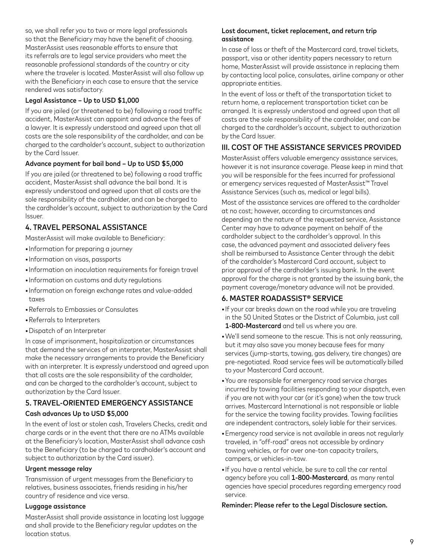so, we shall refer you to two or more legal professionals so that the Beneficiary may have the benefit of choosing. MasterAssist uses reasonable efforts to ensure that its referrals are to legal service providers who meet the reasonable professional standards of the country or city where the traveler is located. MasterAssist will also follow up with the Beneficiary in each case to ensure that the service rendered was satisfactory.

### Legal Assistance – Up to USD \$1,000

If you are jailed (or threatened to be) following a road traffic accident, MasterAssist can appoint and advance the fees of a lawyer. It is expressly understood and agreed upon that all costs are the sole responsibility of the cardholder, and can be charged to the cardholder's account, subject to authorization by the Card Issuer.

#### Advance payment for bail bond – Up to USD \$5,000

If you are jailed (or threatened to be) following a road traffic accident, MasterAssist shall advance the bail bond. It is expressly understood and agreed upon that all costs are the sole responsibility of the cardholder, and can be charged to the cardholder's account, subject to authorization by the Card Issuer.

## 4. TRAVEL PERSONAL ASSISTANCE

MasterAssist will make available to Beneficiary:

- Information for preparing a journey
- Information on visas, passports
- Information on inoculation requirements for foreign travel
- Information on customs and duty regulations
- Information on foreign exchange rates and value-added taxes
- Referrals to Embassies or Consulates
- Referrals to Interpreters
- Dispatch of an Interpreter

In case of imprisonment, hospitalization or circumstances that demand the services of an interpreter, MasterAssist shall make the necessary arrangements to provide the Beneficiary with an interpreter. It is expressly understood and agreed upon that all costs are the sole responsibility of the cardholder, and can be charged to the cardholder's account, subject to authorization by the Card Issuer.

# 5. TRAVEL-ORIENTED EMERGENCY ASSISTANCE

# Cash advances Up to USD \$5,000

In the event of lost or stolen cash, Travelers Checks, credit and charge cards or in the event that there are no ATMs available at the Beneficiary's location, MasterAssist shall advance cash to the Beneficiary (to be charged to cardholder's account and subject to authorization by the Card issuer).

### Urgent message relay

Transmission of urgent messages from the Beneficiary to relatives, business associates, friends residing in his/her country of residence and vice versa.

### Luggage assistance

MasterAssist shall provide assistance in locating lost luggage and shall provide to the Beneficiary regular updates on the location status.

### Lost document, ticket replacement, and return trip assistance

In case of loss or theft of the Mastercard card, travel tickets, passport, visa or other identity papers necessary to return home, MasterAssist will provide assistance in replacing them by contacting local police, consulates, airline company or other appropriate entities.

In the event of loss or theft of the transportation ticket to return home, a replacement transportation ticket can be arranged. It is expressly understood and agreed upon that all costs are the sole responsibility of the cardholder, and can be charged to the cardholder's account, subject to authorization by the Card Issuer.

# III. COST OF THE ASSISTANCE SERVICES PROVIDED

MasterAssist offers valuable emergency assistance services, however it is not insurance coverage. Please keep in mind that you will be responsible for the fees incurred for professional or emergency services requested of MasterAssist™ Travel Assistance Services (such as, medical or legal bills).

Most of the assistance services are offered to the cardholder at no cost; however, according to circumstances and depending on the nature of the requested service, Assistance Center may have to advance payment on behalf of the cardholder subject to the cardholder's approval. In this case, the advanced payment and associated delivery fees shall be reimbursed to Assistance Center through the debit of the cardholder's Mastercard Card account, subject to prior approval of the cardholder's issuing bank. In the event approval for the charge is not granted by the issuing bank, the payment coverage/monetary advance will not be provided.

# 6. MASTER ROADASSIST® SERVICE

- If your car breaks down on the road while you are traveling in the 50 United States or the District of Columbia, just call 1-800-Mastercard and tell us where you are.
- We'll send someone to the rescue. This is not only reassuring, but it may also save you money because fees for many services (jump-starts, towing, gas delivery, tire changes) are pre-negotiated. Road service fees will be automatically billed to your Mastercard Card account.
- You are responsible for emergency road service charges incurred by towing facilities responding to your dispatch, even if you are not with your car (or it's gone) when the tow truck arrives. Mastercard International is not responsible or liable for the service the towing facility provides. Towing facilities are independent contractors, solely liable for their services.
- Emergency road service is not available in areas not regularly traveled, in "off-road" areas not accessible by ordinary towing vehicles, or for over one-ton capacity trailers, campers, or vehicles-in-tow.
- If you have a rental vehicle, be sure to call the car rental agency before you call 1-800-Mastercard, as many rental agencies have special procedures regarding emergency road service.

Reminder: Please refer to the Legal Disclosure section.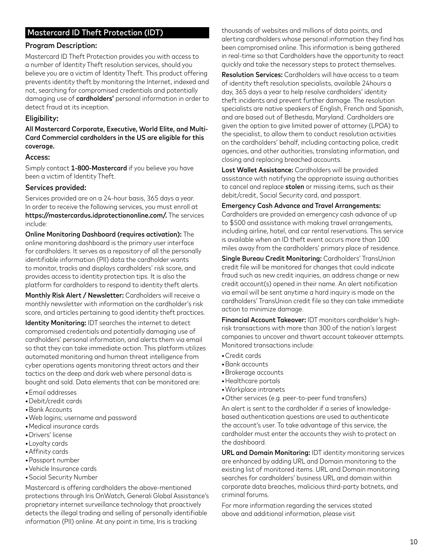# Mastercard ID Theft Protection (IDT)

### Program Description:

Mastercard ID Theft Protection provides you with access to a number of Identity Theft resolution services, should you believe you are a victim of Identity Theft. This product offering prevents identity theft by monitoring the Internet, indexed and not, searching for compromised credentials and potentially damaging use of cardholders' personal information in order to detect fraud at its inception.

### Eligibility:

All Mastercard Corporate, Executive, World Elite, and Multi-Card Commercial cardholders in the US are eligible for this coverage.

#### Access:

Simply contact 1-800-Mastercard if you believe you have been a victim of Identity Theft.

#### Services provided:

Services provided are on a 24-hour basis, 365 days a year. In order to receive the following services, you must enroll at https://mastercardus.idprotectiononline.com/. The services include:

Online Monitoring Dashboard (requires activation): The online monitoring dashboard is the primary user interface for cardholders. It serves as a repository of all the personally identifiable information (PII) data the cardholder wants to monitor, tracks and displays cardholders' risk score, and provides access to identity protection tips. It is also the platform for cardholders to respond to identity theft alerts.

Monthly Risk Alert / Newsletter: Cardholders will receive a monthly newsletter with information on the cardholder's risk score, and articles pertaining to good identity theft practices.

Identity Monitoring: IDT searches the internet to detect compromised credentials and potentially damaging use of cardholders' personal information, and alerts them via email so that they can take immediate action. This platform utilizes automated monitoring and human threat intelligence from cyber operations agents monitoring threat actors and their tactics on the deep and dark web where personal data is bought and sold. Data elements that can be monitored are:

- Email addresses
- Debit/credit cards
- Bank Accounts
- Web logins; username and password
- Medical insurance cards
- Drivers' license
- Loyalty cards
- Affinity cards
- Passport number
- Vehicle Insurance cards
- Social Security Number

Mastercard is offering cardholders the above-mentioned protections through Iris OnWatch, Generali Global Assistance's proprietary internet surveillance technology that proactively detects the illegal trading and selling of personally identifiable information (PII) online. At any point in time, Iris is tracking

thousands of websites and millions of data points, and alerting cardholders whose personal information they find has been compromised online. This information is being gathered in real-time so that Cardholders have the opportunity to react quickly and take the necessary steps to protect themselves.

Resolution Services: Cardholders will have access to a team of identity theft resolution specialists, available 24hours a day, 365 days a year to help resolve cardholders' identity theft incidents and prevent further damage. The resolution specialists are native speakers of English, French and Spanish, and are based out of Bethesda, Maryland. Cardholders are given the option to give limited power of attorney (LPOA) to the specialist, to allow them to conduct resolution activities on the cardholders' behalf, including contacting police, credit agencies, and other authorities, translating information, and closing and replacing breached accounts.

Lost Wallet Assistance: Cardholders will be provided assistance with notifying the appropriate issuing authorities to cancel and replace stolen or missing items, such as their debit/credit, Social Security card, and passport.

#### Emergency Cash Advance and Travel Arrangements:

Cardholders are provided an emergency cash advance of up to \$500 and assistance with making travel arrangements, including airline, hotel, and car rental reservations. This service is available when an ID theft event occurs more than 100 miles away from the cardholders' primary place of residence.

Single Bureau Credit Monitoring: Cardholders' TransUnion credit file will be monitored for changes that could indicate fraud such as new credit inquiries, an address change or new credit account(s) opened in their name. An alert notification via email will be sent anytime a hard inquiry is made on the cardholders' TransUnion credit file so they can take immediate action to minimize damage.

Financial Account Takeover: IDT monitors cardholder's highrisk transactions with more than 300 of the nation's largest companies to uncover and thwart account takeover attempts. Monitored transactions include:

- Credit cards
- Bank accounts
- Brokerage accounts
- Healthcare portals
- Workplace intranets
- Other services (e.g. peer-to-peer fund transfers)

An alert is sent to the cardholder if a series of knowledgebased authentication questions are used to authenticate the account's user. To take advantage of this service, the cardholder must enter the accounts they wish to protect on the dashboard.

URL and Domain Monitoring: IDT identity monitoring services are enhanced by adding URL and Domain monitoring to the existing list of monitored items. URL and Domain monitoring searches for cardholders' business URL and domain within corporate data breaches, malicious third-party botnets, and criminal forums.

For more information regarding the services stated above and additional information, please visit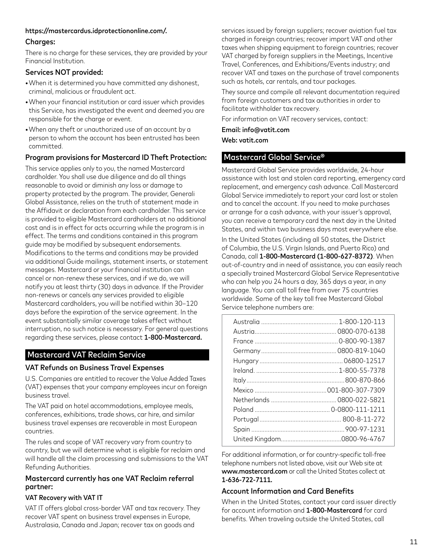#### https://mastercardus.idprotectiononline.com/.

### Charges:

There is no charge for these services, they are provided by your Financial Institution.

### Services NOT provided:

- When it is determined you have committed any dishonest, criminal, malicious or fraudulent act.
- When your financial institution or card issuer which provides this Service, has investigated the event and deemed you are responsible for the charge or event.
- When any theft or unauthorized use of an account by a person to whom the account has been entrusted has been committed.

## Program provisions for Mastercard ID Theft Protection:

This service applies only to you, the named Mastercard cardholder. You shall use due diligence and do all things reasonable to avoid or diminish any loss or damage to property protected by the program. The provider, Generali Global Assistance, relies on the truth of statement made in the Affidavit or declaration from each cardholder. This service is provided to eligible Mastercard cardholders at no additional cost and is in effect for acts occurring while the program is in effect. The terms and conditions contained in this program guide may be modified by subsequent endorsements. Modifications to the terms and conditions may be provided via additional Guide mailings, statement inserts, or statement messages. Mastercard or your financial institution can cancel or non-renew these services, and if we do, we will notify you at least thirty (30) days in advance. If the Provider non-renews or cancels any services provided to eligible Mastercard cardholders, you will be notified within 30–120 days before the expiration of the service agreement. In the event substantially similar coverage takes effect without interruption, no such notice is necessary. For general questions regarding these services, please contact 1-800-Mastercard.

# Mastercard VAT Reclaim Service

# VAT Refunds on Business Travel Expenses

U.S. Companies are entitled to recover the Value Added Taxes (VAT) expenses that your company employees incur on foreign business travel.

The VAT paid on hotel accommodations, employee meals, conferences, exhibitions, trade shows, car hire, and similar business travel expenses are recoverable in most European countries.

The rules and scope of VAT recovery vary from country to country, but we will determine what is eligible for reclaim and will handle all the claim processing and submissions to the VAT Refunding Authorities.

### Mastercard currently has one VAT Reclaim referral partner:

#### VAT Recovery with VAT IT

VAT IT offers global cross-border VAT and tax recovery. They recover VAT spent on business travel expenses in Europe, Australasia, Canada and Japan; recover tax on goods and

services issued by foreign suppliers; recover aviation fuel tax charged in foreign countries; recover import VAT and other taxes when shipping equipment to foreign countries; recover VAT charged by foreign suppliers in the Meetings, Incentive Travel, Conferences, and Exhibitions/Events industry; and recover VAT and taxes on the purchase of travel components such as hotels, car rentals, and tour packages.

They source and compile all relevant documentation required from foreign customers and tax authorities in order to facilitate withholder tax recovery.

For information on VAT recovery services, contact:

Email: info@vatit.com

Web: vatit.com

# Mastercard Global Service®

Mastercard Global Service provides worldwide, 24-hour assistance with lost and stolen card reporting, emergency card replacement, and emergency cash advance. Call Mastercard Global Service immediately to report your card lost or stolen and to cancel the account. If you need to make purchases or arrange for a cash advance, with your issuer's approval, you can receive a temporary card the next day in the United States, and within two business days most everywhere else.

In the United States (including all 50 states, the District of Columbia, the U.S. Virgin Islands, and Puerto Rico) and Canada, call 1-800-Mastercard (1-800-627-8372). When out-of-country and in need of assistance, you can easily reach a specially trained Mastercard Global Service Representative who can help you 24 hours a day, 365 days a year, in any language. You can call toll free from over 75 countries worldwide. Some of the key toll free Mastercard Global Service telephone numbers are:

For additional information, or for country-specific toll-free telephone numbers not listed above, visit our Web site at www.mastercard.com or call the United States collect at 1-636-722-7111.

### Account Information and Card Benefits

When in the United States, contact your card issuer directly for account information and 1-800-Mastercard for card benefits. When traveling outside the United States, call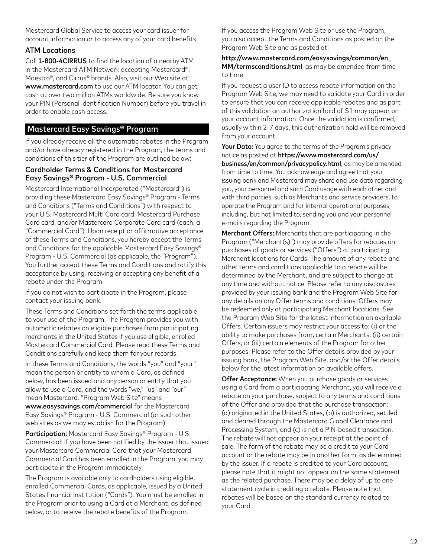Mastercard Global Service to access your card issuer for account information or to access any of your card benefits.

### ATM Locations

Call 1-800-4CIRRUS to find the location of a nearby ATM in the Mastercard ATM Network accepting Mastercard®, Maestro®, and Cirrus® brands. Also, visit our Web site at www.mastercard.com to use our ATM locator. You can get cash at over two million ATMs worldwide. Be sure you know your PIN (Personal Identification Number) before you travel in order to enable cash access.

# Mastercard Easy Savings® Program

If you already receive all the automatic rebates in the Program and/or have already registered in the Program, the terms and conditions of this tier of the Program are outlined below:

#### Cardholder Terms & Conditions for Mastercard Easy Savings® Program - U.S. Commercial

Mastercard International Incorporated ("Mastercard") is providing these Mastercard Easy Savings® Program - Terms and Conditions ("Terms and Conditions") with respect to your U.S. Mastercard Multi Card card, Mastercard Purchase Card card, and/or Mastercard Corporate Card card (each, a "Commercial Card"). Upon receipt or affirmative acceptance of these Terms and Conditions, you hereby accept the Terms and Conditions for the applicable Mastercard Easy Savings® Program - U.S. Commercial (as applicable, the "Program"). You further accept these Terms and Conditions and ratify this acceptance by using, receiving or accepting any benefit of a rebate under the Program.

If you do not wish to participate in the Program, please contact your issuing bank.

These Terms and Conditions set forth the terms applicable to your use of the Program. The Program provides you with automatic rebates on eligible purchases from participating merchants in the United States if you use eligible, enrolled Mastercard Commercial Card. Please read these Terms and Conditions carefully and keep them for your records.

In these Terms and Conditions, the words "you" and "your" mean the person or entity to whom a Card, as defined below, has been issued and any person or entity that you allow to use a Card, and the words "we," "us" and "our" mean Mastercard. "Program Web Site" means www.easysavings.com/commercial for the Mastercard Easy Savings® Program - U.S. Commercial (or such other web sites as we may establish for the Program).

Participation: Mastercard Easy Savings® Program - U.S. Commercial: If you have been notified by the issuer that issued your Mastercard Commercial Card that your Mastercard Commercial Card has been enrolled in the Program, you may participate in the Program immediately.

The Program is available only to cardholders using eligible, enrolled Commercial Cards, as applicable, issued by a United States financial institution ("Cards"). You must be enrolled in the Program prior to using a Card at a Merchant, as defined below, or to receive the rebate benefits of the Program.

If you access the Program Web Site or use the Program, you also accept the Terms and Conditions as posted on the Program Web Site and as posted at:

http://www.mastercard.com/easysavings/common/en\_ MM/termsconditions.html, as may be amended from time to time.

If you request a user ID to access rebate information on the Program Web Site, we may need to validate your Card in order to ensure that you can receive applicable rebates and as part of this validation an authorization hold of \$1 may appear on your account information. Once the validation is confirmed, usually within 2-7 days, this authorization hold will be removed from your account.

Your Data: You agree to the terms of the Program's privacy notice as posted at https://www.mastercard.com/us/ business/en/common/privacypolicy.html, as may be amended from time to time. You acknowledge and agree that your issuing bank and Mastercard may share and use data regarding you, your personnel and such Card usage with each other and with third parties, such as Merchants and service providers, to operate the Program and for internal operational purposes, including, but not limited to, sending you and your personnel e-mails regarding the Program.

Merchant Offers: Merchants that are participating in the Program ("Merchant(s)") may provide offers for rebates on purchases of goods or services ("Offers") at participating Merchant locations for Cards. The amount of any rebate and other terms and conditions applicable to a rebate will be determined by the Merchant, and are subject to change at any time and without notice. Please refer to any disclosures provided by your issuing bank and the Program Web Site for any details on any Offer terms and conditions. Offers may be redeemed only at participating Merchant locations. See the Program Web Site for the latest information on available Offers. Certain issuers may restrict your access to: (i) or the ability to make purchases from, certain Merchants; (ii) certain Offers; or (iii) certain elements of the Program for other purposes. Please refer to the Offer details provided by your issuing bank, the Program Web Site, and/or the Offer details below for the latest information on available offers.

**Offer Acceptance:** When you purchase goods or services using a Card from a participating Merchant, you will receive a rebate on your purchase, subject to any terms and conditions of the Offer and provided that the purchase transaction: (a) originated in the United States, (b) is authorized, settled and cleared through the Mastercard Global Clearance and Processing System, and (c) is not a PIN-based transaction. The rebate will not appear on your receipt at the point of sale. The form of the rebate may be a credit to your Card account or the rebate may be in another form, as determined by the Issuer. If a rebate is credited to your Card account, please note that it might not appear on the same statement as the related purchase. There may be a delay of up to one statement cycle in crediting a rebate. Please note that rebates will be based on the standard currency related to your Card.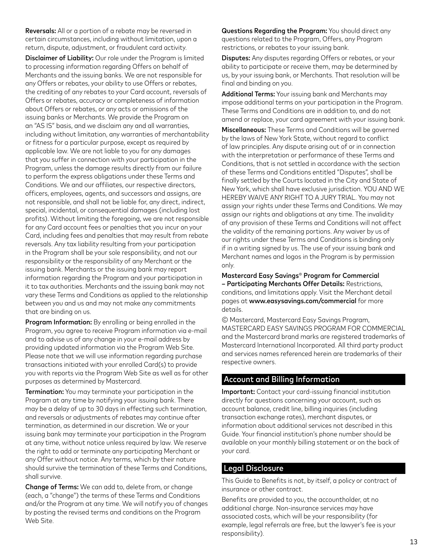Reversals: All or a portion of a rebate may be reversed in certain circumstances, including without limitation, upon a return, dispute, adjustment, or fraudulent card activity.

Disclaimer of Liability: Our role under the Program is limited to processing information regarding Offers on behalf of Merchants and the issuing banks. We are not responsible for any Offers or rebates, your ability to use Offers or rebates, the crediting of any rebates to your Card account, reversals of Offers or rebates, accuracy or completeness of information about Offers or rebates, or any acts or omissions of the issuing banks or Merchants. We provide the Program on an "AS IS" basis, and we disclaim any and all warranties, including without limitation, any warranties of merchantability or fitness for a particular purpose, except as required by applicable law. We are not liable to you for any damages that you suffer in connection with your participation in the Program, unless the damage results directly from our failure to perform the express obligations under these Terms and Conditions. We and our affiliates, our respective directors, officers, employees, agents, and successors and assigns, are not responsible, and shall not be liable for, any direct, indirect, special, incidental, or consequential damages (including lost profits). Without limiting the foregoing, we are not responsible for any Card account fees or penalties that you incur on your Card, including fees and penalties that may result from rebate reversals. Any tax liability resulting from your participation in the Program shall be your sole responsibility, and not our responsibility or the responsibility of any Merchant or the issuing bank. Merchants or the issuing bank may report information regarding the Program and your participation in it to tax authorities. Merchants and the issuing bank may not vary these Terms and Conditions as applied to the relationship between you and us and may not make any commitments that are binding on us.

Program Information: By enrolling or being enrolled in the Program, you agree to receive Program information via e-mail and to advise us of any change in your e-mail address by providing updated information via the Program Web Site. Please note that we will use information regarding purchase transactions initiated with your enrolled Card(s) to provide you with reports via the Program Web Site as well as for other purposes as determined by Mastercard.

Termination: You may terminate your participation in the Program at any time by notifying your issuing bank. There may be a delay of up to 30 days in effecting such termination, and reversals or adjustments of rebates may continue after termination, as determined in our discretion. We or your issuing bank may terminate your participation in the Program at any time, without notice unless required by law. We reserve the right to add or terminate any participating Merchant or any Offer without notice. Any terms, which by their nature should survive the termination of these Terms and Conditions, shall survive.

Change of Terms: We can add to, delete from, or change (each, a "change") the terms of these Terms and Conditions and/or the Program at any time. We will notify you of changes by posting the revised terms and conditions on the Program Web Site.

Questions Regarding the Program: You should direct any questions related to the Program, Offers, any Program restrictions, or rebates to your issuing bank.

Disputes: Any disputes regarding Offers or rebates, or your ability to participate or receive them, may be determined by us, by your issuing bank, or Merchants. That resolution will be final and binding on you.

Additional Terms: Your issuing bank and Merchants may impose additional terms on your participation in the Program. These Terms and Conditions are in addition to, and do not amend or replace, your card agreement with your issuing bank.

Miscellaneous: These Terms and Conditions will be governed by the laws of New York State, without regard to conflict of law principles. Any dispute arising out of or in connection with the interpretation or performance of these Terms and Conditions, that is not settled in accordance with the section of these Terms and Conditions entitled "Disputes", shall be finally settled by the Courts located in the City and State of New York, which shall have exclusive jurisdiction. YOU AND WE HEREBY WAIVE ANY RIGHT TO A JURY TRIAL. You may not assign your rights under these Terms and Conditions. We may assign our rights and obligations at any time. The invalidity of any provision of these Terms and Conditions will not affect the validity of the remaining portions. Any waiver by us of our rights under these Terms and Conditions is binding only if in a writing signed by us. The use of your issuing bank and Merchant names and logos in the Program is by permission only.

Mastercard Easy Savings® Program for Commercial – Participating Merchants Offer Details: Restrictions, conditions, and limitations apply. Visit the Merchant detail pages at www.easysavings.com/commercial for more details.

© Mastercard, Mastercard Easy Savings Program, MASTERCARD EASY SAVINGS PROGRAM FOR COMMERCIAL and the Mastercard brand marks are registered trademarks of Mastercard International Incorporated. All third party product and services names referenced herein are trademarks of their respective owners.

### Account and Billing Information

Important: Contact your card-issuing financial institution directly for questions concerning your account, such as account balance, credit line, billing inquiries (including transaction exchange rates), merchant disputes, or information about additional services not described in this Guide. Your financial institution's phone number should be available on your monthly billing statement or on the back of your card.

#### Legal Disclosure

This Guide to Benefits is not, by itself, a policy or contract of insurance or other contract.

Benefits are provided to you, the accountholder, at no additional charge. Non-insurance services may have associated costs, which will be your responsibility (for example, legal referrals are free, but the lawyer's fee is your responsibility).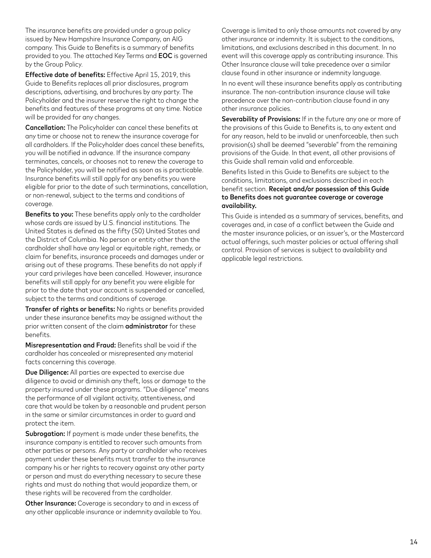The insurance benefits are provided under a group policy issued by New Hampshire Insurance Company, an AIG company. This Guide to Benefits is a summary of benefits provided to you. The attached Key Terms and EOC is governed by the Group Policy.

Effective date of benefits: Effective April 15, 2019, this Guide to Benefits replaces all prior disclosures, program descriptions, advertising, and brochures by any party. The Policyholder and the insurer reserve the right to change the benefits and features of these programs at any time. Notice will be provided for any changes.

Cancellation: The Policyholder can cancel these benefits at any time or choose not to renew the insurance coverage for all cardholders. If the Policyholder does cancel these benefits, you will be notified in advance. If the insurance company terminates, cancels, or chooses not to renew the coverage to the Policyholder, you will be notified as soon as is practicable. Insurance benefits will still apply for any benefits you were eligible for prior to the date of such terminations, cancellation, or non-renewal, subject to the terms and conditions of coverage.

Benefits to you: These benefits apply only to the cardholder whose cards are issued by U.S. financial institutions. The United States is defined as the fifty (50) United States and the District of Columbia. No person or entity other than the cardholder shall have any legal or equitable right, remedy, or claim for benefits, insurance proceeds and damages under or arising out of these programs. These benefits do not apply if your card privileges have been cancelled. However, insurance benefits will still apply for any benefit you were eligible for prior to the date that your account is suspended or cancelled, subject to the terms and conditions of coverage.

Transfer of rights or benefits: No rights or benefits provided under these insurance benefits may be assigned without the prior written consent of the claim **administrator** for these benefits.

Misrepresentation and Fraud: Benefits shall be void if the cardholder has concealed or misrepresented any material facts concerning this coverage.

Due Diligence: All parties are expected to exercise due diligence to avoid or diminish any theft, loss or damage to the property insured under these programs. "Due diligence" means the performance of all vigilant activity, attentiveness, and care that would be taken by a reasonable and prudent person in the same or similar circumstances in order to guard and protect the item.

Subrogation: If payment is made under these benefits, the insurance company is entitled to recover such amounts from other parties or persons. Any party or cardholder who receives payment under these benefits must transfer to the insurance company his or her rights to recovery against any other party or person and must do everything necessary to secure these rights and must do nothing that would jeopardize them, or these rights will be recovered from the cardholder.

Other Insurance: Coverage is secondary to and in excess of any other applicable insurance or indemnity available to You. Coverage is limited to only those amounts not covered by any other insurance or indemnity. It is subject to the conditions, limitations, and exclusions described in this document. In no event will this coverage apply as contributing insurance. This Other Insurance clause will take precedence over a similar clause found in other insurance or indemnity language.

In no event will these insurance benefits apply as contributing insurance. The non-contribution insurance clause will take precedence over the non-contribution clause found in any other insurance policies.

Severability of Provisions: If in the future any one or more of the provisions of this Guide to Benefits is, to any extent and for any reason, held to be invalid or unenforceable, then such provision(s) shall be deemed "severable" from the remaining provisions of the Guide. In that event, all other provisions of this Guide shall remain valid and enforceable.

Benefits listed in this Guide to Benefits are subject to the conditions, limitations, and exclusions described in each benefit section. Receipt and/or possession of this Guide to Benefits does not guarantee coverage or coverage availability.

This Guide is intended as a summary of services, benefits, and coverages and, in case of a conflict between the Guide and the master insurance policies, or an issuer's, or the Mastercard actual offerings, such master policies or actual offering shall control. Provision of services is subject to availability and applicable legal restrictions.